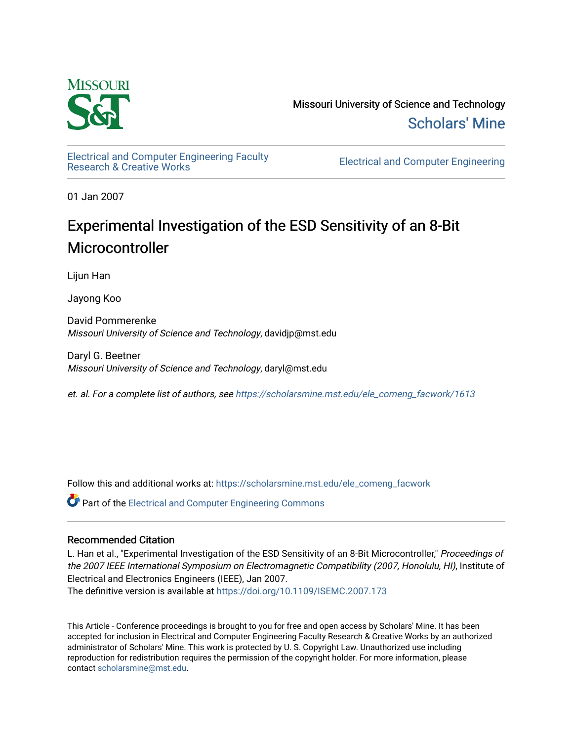

Missouri University of Science and Technology [Scholars' Mine](https://scholarsmine.mst.edu/) 

[Electrical and Computer Engineering Faculty](https://scholarsmine.mst.edu/ele_comeng_facwork)

**Electrical and Computer Engineering** 

01 Jan 2007

# Experimental Investigation of the ESD Sensitivity of an 8-Bit **Microcontroller**

Lijun Han

Jayong Koo

David Pommerenke Missouri University of Science and Technology, davidjp@mst.edu

Daryl G. Beetner Missouri University of Science and Technology, daryl@mst.edu

et. al. For a complete list of authors, see [https://scholarsmine.mst.edu/ele\\_comeng\\_facwork/1613](https://scholarsmine.mst.edu/ele_comeng_facwork/1613) 

Follow this and additional works at: [https://scholarsmine.mst.edu/ele\\_comeng\\_facwork](https://scholarsmine.mst.edu/ele_comeng_facwork?utm_source=scholarsmine.mst.edu%2Fele_comeng_facwork%2F1613&utm_medium=PDF&utm_campaign=PDFCoverPages)

**C** Part of the Electrical and Computer Engineering Commons

## Recommended Citation

L. Han et al., "Experimental Investigation of the ESD Sensitivity of an 8-Bit Microcontroller," Proceedings of the 2007 IEEE International Symposium on Electromagnetic Compatibility (2007, Honolulu, HI), Institute of Electrical and Electronics Engineers (IEEE), Jan 2007.

The definitive version is available at <https://doi.org/10.1109/ISEMC.2007.173>

This Article - Conference proceedings is brought to you for free and open access by Scholars' Mine. It has been accepted for inclusion in Electrical and Computer Engineering Faculty Research & Creative Works by an authorized administrator of Scholars' Mine. This work is protected by U. S. Copyright Law. Unauthorized use including reproduction for redistribution requires the permission of the copyright holder. For more information, please contact [scholarsmine@mst.edu](mailto:scholarsmine@mst.edu).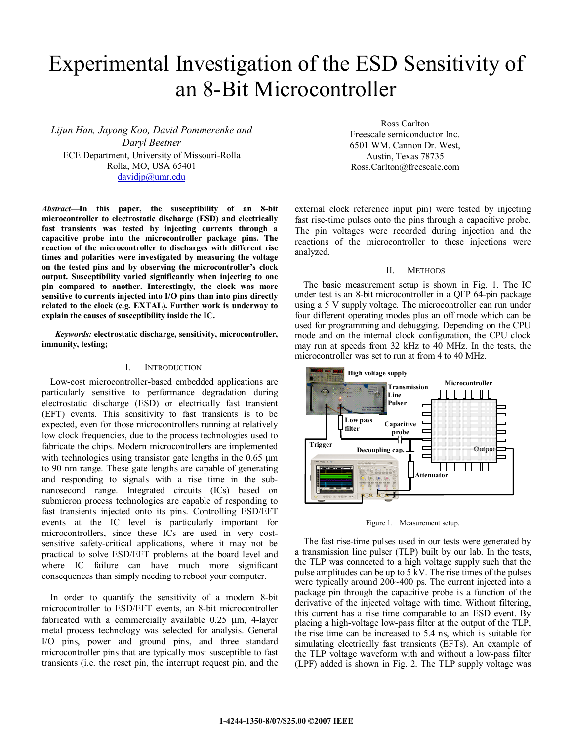# Experimental Investigation of the ESD Sensitivity of an 8-Bit Microcontroller

*Lijun Han, Jayong Koo, David Pommerenke and Daryl Beetner* ECE Department, University of Missouri-Rolla Rolla, MO, USA 65401 davidjp@umr.edu

*Abstract***—In this paper, the susceptibility of an 8-bit microcontroller to electrostatic discharge (ESD) and electrically fast transients was tested by injecting currents through a capacitive probe into the microcontroller package pins. The reaction of the microcontroller to discharges with different rise times and polarities were investigated by measuring the voltage on the tested pins and by observing the microcontroller's clock output. Susceptibility varied significantly when injecting to one pin compared to another. Interestingly, the clock was more sensitive to currents injected into I/O pins than into pins directly related to the clock (e.g. EXTAL). Further work is underway to explain the causes of susceptibility inside the IC.** 

*Keywords:* **electrostatic discharge, sensitivity, microcontroller, immunity, testing;**

#### I. INTRODUCTION

Low-cost microcontroller-based embedded applications are particularly sensitive to performance degradation during electrostatic discharge (ESD) or electrically fast transient (EFT) events. This sensitivity to fast transients is to be expected, even for those microcontrollers running at relatively low clock frequencies, due to the process technologies used to fabricate the chips. Modern microcontrollers are implemented with technologies using transistor gate lengths in the 0.65  $\mu$ m to 90 nm range. These gate lengths are capable of generating and responding to signals with a rise time in the subnanosecond range. Integrated circuits (ICs) based on submicron process technologies are capable of responding to fast transients injected onto its pins. Controlling ESD/EFT events at the IC level is particularly important for microcontrollers, since these ICs are used in very costsensitive safety-critical applications, where it may not be practical to solve ESD/EFT problems at the board level and where IC failure can have much more significant consequences than simply needing to reboot your computer.

In order to quantify the sensitivity of a modern 8-bit microcontroller to ESD/EFT events, an 8-bit microcontroller fabricated with a commercially available 0.25 µm, 4-layer metal process technology was selected for analysis. General I/O pins, power and ground pins, and three standard microcontroller pins that are typically most susceptible to fast transients (i.e. the reset pin, the interrupt request pin, and the

Ross Carlton Freescale semiconductor Inc. 6501 WM. Cannon Dr. West, Austin, Texas 78735 Ross.Carlton@freescale.com

external clock reference input pin) were tested by injecting fast rise-time pulses onto the pins through a capacitive probe. The pin voltages were recorded during injection and the reactions of the microcontroller to these injections were analyzed.

#### II. METHODS

The basic measurement setup is shown in Fig. 1. The IC under test is an 8-bit microcontroller in a QFP 64-pin package using a 5 V supply voltage. The microcontroller can run under four different operating modes plus an off mode which can be used for programming and debugging. Depending on the CPU mode and on the internal clock configuration, the CPU clock may run at speeds from 32 kHz to 40 MHz. In the tests, the microcontroller was set to run at from 4 to 40 MHz.



Figure 1. Measurement setup.

The fast rise-time pulses used in our tests were generated by a transmission line pulser (TLP) built by our lab. In the tests, the TLP was connected to a high voltage supply such that the pulse amplitudes can be up to 5 kV. The rise times of the pulses were typically around 200~400 ps. The current injected into a package pin through the capacitive probe is a function of the derivative of the injected voltage with time. Without filtering, this current has a rise time comparable to an ESD event. By placing a high-voltage low-pass filter at the output of the TLP, the rise time can be increased to 5.4 ns, which is suitable for simulating electrically fast transients (EFTs). An example of the TLP voltage waveform with and without a low-pass filter (LPF) added is shown in Fig. 2. The TLP supply voltage was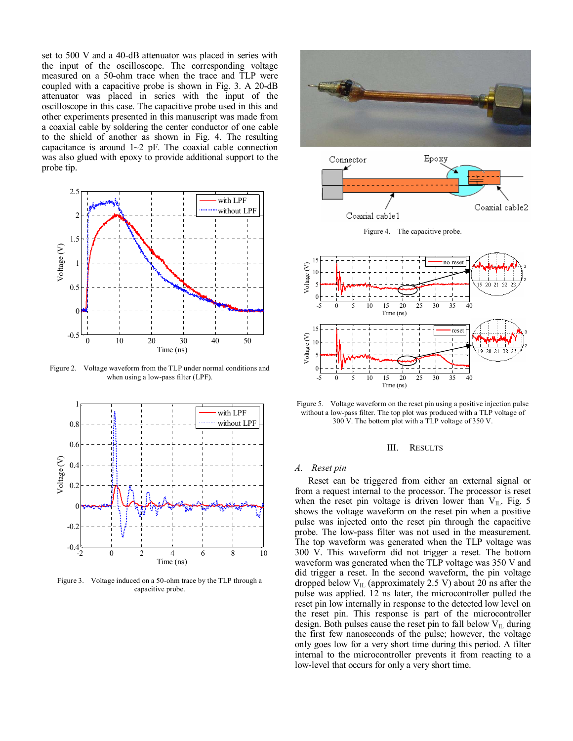set to 500 V and a 40-dB attenuator was placed in series with the input of the oscilloscope. The corresponding voltage measured on a 50-ohm trace when the trace and TLP were coupled with a capacitive probe is shown in Fig. 3. A 20-dB attenuator was placed in series with the input of the oscilloscope in this case. The capacitive probe used in this and other experiments presented in this manuscript was made from a coaxial cable by soldering the center conductor of one cable to the shield of another as shown in Fig. 4. The resulting capacitance is around  $1~2$  pF. The coaxial cable connection was also glued with epoxy to provide additional support to the probe tip.



Figure 2. Voltage waveform from the TLP under normal conditions and when using a low-pass filter (LPF).



Figure 3. Voltage induced on a 50-ohm trace by the TLP through a capacitive probe.





Figure 4. The capacitive probe.



Figure 5. Voltage waveform on the reset pin using a positive injection pulse without a low-pass filter. The top plot was produced with a TLP voltage of 300 V. The bottom plot with a TLP voltage of 350 V.

#### III. RESULTS

#### *A. Reset pin*

Reset can be triggered from either an external signal or from a request internal to the processor. The processor is reset when the reset pin voltage is driven lower than  $V_{IL}$ . Fig. 5 shows the voltage waveform on the reset pin when a positive pulse was injected onto the reset pin through the capacitive probe. The low-pass filter was not used in the measurement. The top waveform was generated when the TLP voltage was 300 V. This waveform did not trigger a reset. The bottom waveform was generated when the TLP voltage was 350 V and did trigger a reset. In the second waveform, the pin voltage dropped below  $V_{IL}$  (approximately 2.5 V) about 20 ns after the pulse was applied. 12 ns later, the microcontroller pulled the reset pin low internally in response to the detected low level on the reset pin. This response is part of the microcontroller design. Both pulses cause the reset pin to fall below  $V_{II}$  during the first few nanoseconds of the pulse; however, the voltage only goes low for a very short time during this period. A filter internal to the microcontroller prevents it from reacting to a low-level that occurs for only a very short time.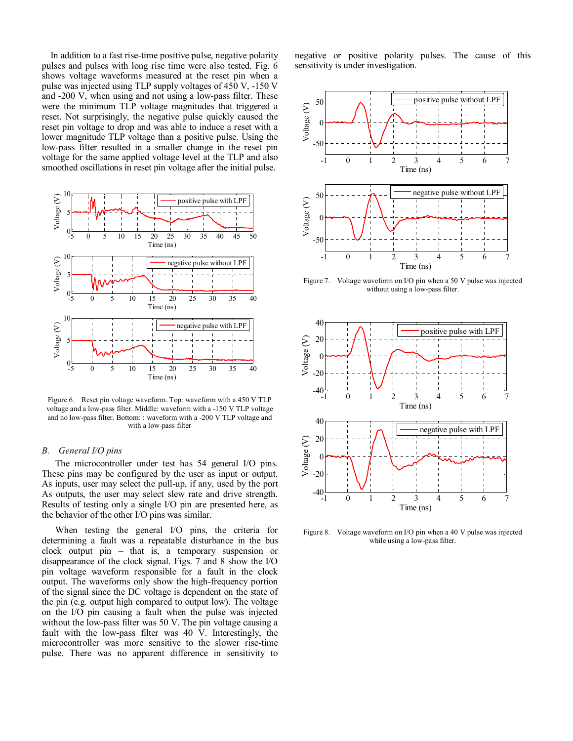In addition to a fast rise-time positive pulse, negative polarity pulses and pulses with long rise time were also tested. Fig. 6 shows voltage waveforms measured at the reset pin when a pulse was injected using TLP supply voltages of 450 V, -150 V and -200 V, when using and not using a low-pass filter. These were the minimum TLP voltage magnitudes that triggered a reset. Not surprisingly, the negative pulse quickly caused the reset pin voltage to drop and was able to induce a reset with a lower magnitude TLP voltage than a positive pulse. Using the low-pass filter resulted in a smaller change in the reset pin voltage for the same applied voltage level at the TLP and also smoothed oscillations in reset pin voltage after the initial pulse.



Figure 6. Reset pin voltage waveform. Top: waveform with a 450 V TLP voltage and a low-pass filter. Middle: waveform with a -150 V TLP voltage and no low-pass filter. Bottom: : waveform with a -200 V TLP voltage and with a low-pass filter

#### *B. General I/O pins*

The microcontroller under test has 54 general I/O pins. These pins may be configured by the user as input or output. As inputs, user may select the pull-up, if any, used by the port As outputs, the user may select slew rate and drive strength. Results of testing only a single I/O pin are presented here, as the behavior of the other I/O pins was similar.

When testing the general I/O pins, the criteria for determining a fault was a repeatable disturbance in the bus clock output pin – that is, a temporary suspension or disappearance of the clock signal. Figs. 7 and 8 show the I/O pin voltage waveform responsible for a fault in the clock output. The waveforms only show the high-frequency portion of the signal since the DC voltage is dependent on the state of the pin (e.g. output high compared to output low). The voltage on the I/O pin causing a fault when the pulse was injected without the low-pass filter was 50 V. The pin voltage causing a fault with the low-pass filter was 40 V. Interestingly, the microcontroller was more sensitive to the slower rise-time pulse. There was no apparent difference in sensitivity to negative or positive polarity pulses. The cause of this sensitivity is under investigation.



Figure 7. Voltage waveform on I/O pin when a 50 V pulse was injected without using a low-pass filter.



Figure 8. Voltage waveform on I/O pin when a 40 V pulse was injected while using a low-pass filter.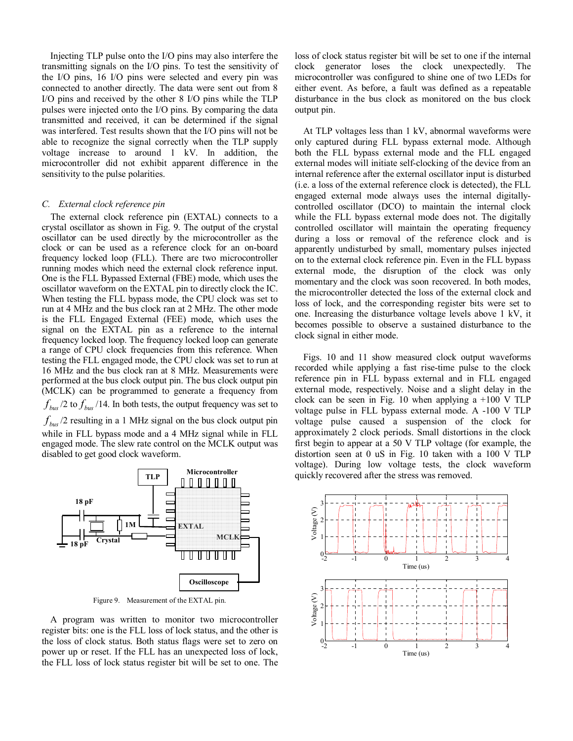Injecting TLP pulse onto the I/O pins may also interfere the transmitting signals on the I/O pins. To test the sensitivity of the I/O pins, 16 I/O pins were selected and every pin was connected to another directly. The data were sent out from 8 I/O pins and received by the other 8 I/O pins while the TLP pulses were injected onto the I/O pins. By comparing the data transmitted and received, it can be determined if the signal was interfered. Test results shown that the I/O pins will not be able to recognize the signal correctly when the TLP supply voltage increase to around 1 kV. In addition, the microcontroller did not exhibit apparent difference in the sensitivity to the pulse polarities.

### *C. External clock reference pin*

The external clock reference pin (EXTAL) connects to a crystal oscillator as shown in Fig. 9. The output of the crystal oscillator can be used directly by the microcontroller as the clock or can be used as a reference clock for an on-board frequency locked loop (FLL). There are two microcontroller running modes which need the external clock reference input. One is the FLL Bypassed External (FBE) mode, which uses the oscillator waveform on the EXTAL pin to directly clock the IC. When testing the FLL bypass mode, the CPU clock was set to run at 4 MHz and the bus clock ran at 2 MHz. The other mode is the FLL Engaged External (FEE) mode, which uses the signal on the EXTAL pin as a reference to the internal frequency locked loop. The frequency locked loop can generate a range of CPU clock frequencies from this reference. When testing the FLL engaged mode, the CPU clock was set to run at 16 MHz and the bus clock ran at 8 MHz. Measurements were performed at the bus clock output pin. The bus clock output pin (MCLK) can be programmed to generate a frequency from  $f_{bus}$  /2 to  $f_{bus}$  /14. In both tests, the output frequency was set to  $f_{bus}$  /2 resulting in a 1 MHz signal on the bus clock output pin while in FLL bypass mode and a 4 MHz signal while in FLL engaged mode. The slew rate control on the MCLK output was disabled to get good clock waveform.



Figure 9. Measurement of the EXTAL pin.

A program was written to monitor two microcontroller register bits: one is the FLL loss of lock status, and the other is the loss of clock status. Both status flags were set to zero on power up or reset. If the FLL has an unexpected loss of lock, the FLL loss of lock status register bit will be set to one. The loss of clock status register bit will be set to one if the internal clock generator loses the clock unexpectedly. The microcontroller was configured to shine one of two LEDs for either event. As before, a fault was defined as a repeatable disturbance in the bus clock as monitored on the bus clock output pin.

At TLP voltages less than 1 kV, abnormal waveforms were only captured during FLL bypass external mode. Although both the FLL bypass external mode and the FLL engaged external modes will initiate self-clocking of the device from an internal reference after the external oscillator input is disturbed (i.e. a loss of the external reference clock is detected), the FLL engaged external mode always uses the internal digitallycontrolled oscillator (DCO) to maintain the internal clock while the FLL bypass external mode does not. The digitally controlled oscillator will maintain the operating frequency during a loss or removal of the reference clock and is apparently undisturbed by small, momentary pulses injected on to the external clock reference pin. Even in the FLL bypass external mode, the disruption of the clock was only momentary and the clock was soon recovered. In both modes, the microcontroller detected the loss of the external clock and loss of lock, and the corresponding register bits were set to one. Increasing the disturbance voltage levels above 1 kV, it becomes possible to observe a sustained disturbance to the clock signal in either mode.

Figs. 10 and 11 show measured clock output waveforms recorded while applying a fast rise-time pulse to the clock reference pin in FLL bypass external and in FLL engaged external mode, respectively. Noise and a slight delay in the clock can be seen in Fig. 10 when applying a  $+100$  V TLP voltage pulse in FLL bypass external mode. A -100 V TLP voltage pulse caused a suspension of the clock for approximately 2 clock periods. Small distortions in the clock first begin to appear at a 50 V TLP voltage (for example, the distortion seen at 0 uS in Fig. 10 taken with a 100 V TLP voltage). During low voltage tests, the clock waveform quickly recovered after the stress was removed.

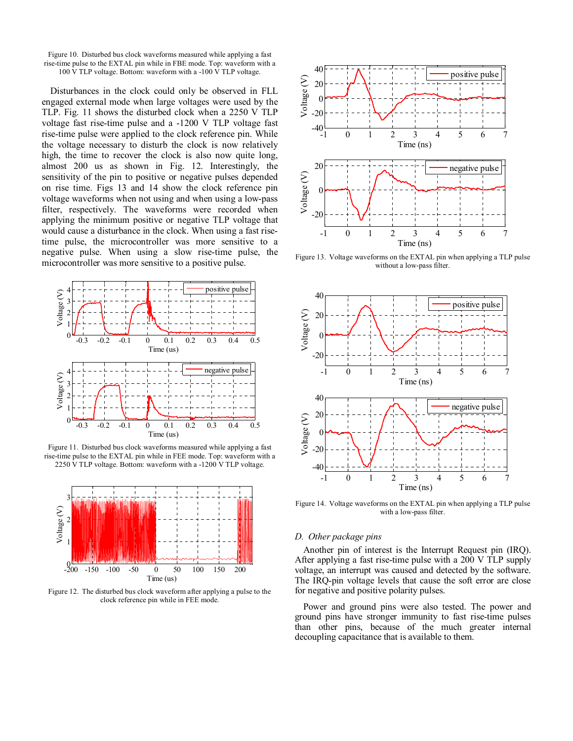

Disturbances in the clock could only be observed in FLL engaged external mode when large voltages were used by the TLP. Fig. 11 shows the disturbed clock when a 2250 V TLP voltage fast rise-time pulse and a -1200 V TLP voltage fast rise-time pulse were applied to the clock reference pin. While the voltage necessary to disturb the clock is now relatively high, the time to recover the clock is also now quite long, almost 200 us as shown in Fig. 12. Interestingly, the sensitivity of the pin to positive or negative pulses depended on rise time. Figs 13 and 14 show the clock reference pin voltage waveforms when not using and when using a low-pass filter, respectively. The waveforms were recorded when applying the minimum positive or negative TLP voltage that would cause a disturbance in the clock. When using a fast risetime pulse, the microcontroller was more sensitive to a negative pulse. When using a slow rise-time pulse, the microcontroller was more sensitive to a positive pulse.



Figure 11. Disturbed bus clock waveforms measured while applying a fast rise-time pulse to the EXTAL pin while in FEE mode. Top: waveform with a 2250 V TLP voltage. Bottom: waveform with a -1200 V TLP voltage.



Figure 12. The disturbed bus clock waveform after applying a pulse to the clock reference pin while in FEE mode.



Figure 13. Voltage waveforms on the EXTAL pin when applying a TLP pulse without a low-pass filter.



Figure 14. Voltage waveforms on the EXTAL pin when applying a TLP pulse with a low-pass filter.

#### *D. Other package pins*

Another pin of interest is the Interrupt Request pin (IRQ). After applying a fast rise-time pulse with a 200 V TLP supply voltage, an interrupt was caused and detected by the software. The IRQ-pin voltage levels that cause the soft error are close for negative and positive polarity pulses.

Power and ground pins were also tested. The power and ground pins have stronger immunity to fast rise-time pulses than other pins, because of the much greater internal decoupling capacitance that is available to them.